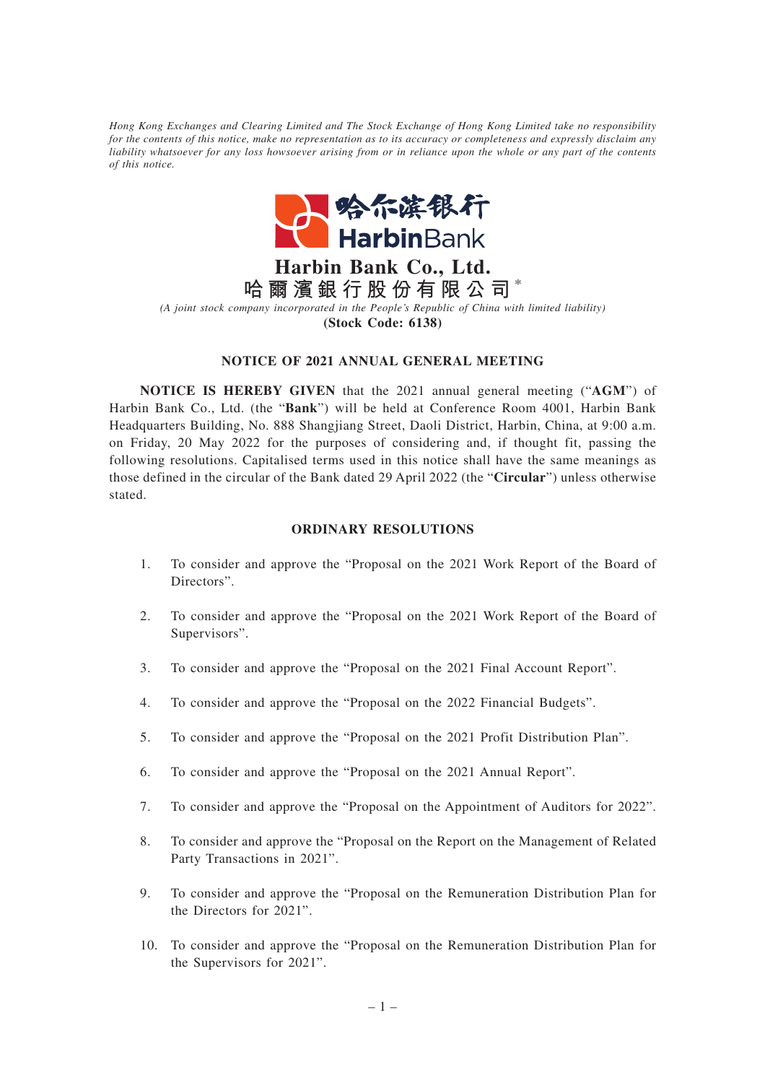*Hong Kong Exchanges and Clearing Limited and The Stock Exchange of Hong Kong Limited take no responsibility for the contents of this notice, make no representation as to its accuracy or completeness and expressly disclaim any liability whatsoever for any loss howsoever arising from or in reliance upon the whole or any part of the contents of this notice.*



**Harbin Bank Co., Ltd. 哈爾濱銀行股份有限公司** \* *(A joint stock company incorporated in the People's Republic of China with limited liability)* **(Stock Code: 6138)**

## **NOTICE OF 2021 ANNUAL GENERAL MEETING**

**NOTICE IS HEREBY GIVEN** that the 2021 annual general meeting ("**AGM**") of Harbin Bank Co., Ltd. (the "**Bank**") will be held at Conference Room 4001, Harbin Bank Headquarters Building, No. 888 Shangjiang Street, Daoli District, Harbin, China, at 9:00 a.m. on Friday, 20 May 2022 for the purposes of considering and, if thought fit, passing the following resolutions. Capitalised terms used in this notice shall have the same meanings as those defined in the circular of the Bank dated 29 April 2022 (the "**Circular**") unless otherwise stated.

## **ORDINARY RESOLUTIONS**

- 1. To consider and approve the "Proposal on the 2021 Work Report of the Board of Directors".
- 2. To consider and approve the "Proposal on the 2021 Work Report of the Board of Supervisors".
- 3. To consider and approve the "Proposal on the 2021 Final Account Report".
- 4. To consider and approve the "Proposal on the 2022 Financial Budgets".
- 5. To consider and approve the "Proposal on the 2021 Profit Distribution Plan".
- 6. To consider and approve the "Proposal on the 2021 Annual Report".
- 7. To consider and approve the "Proposal on the Appointment of Auditors for 2022".
- 8. To consider and approve the "Proposal on the Report on the Management of Related Party Transactions in 2021".
- 9. To consider and approve the "Proposal on the Remuneration Distribution Plan for the Directors for 2021".
- 10. To consider and approve the "Proposal on the Remuneration Distribution Plan for the Supervisors for 2021".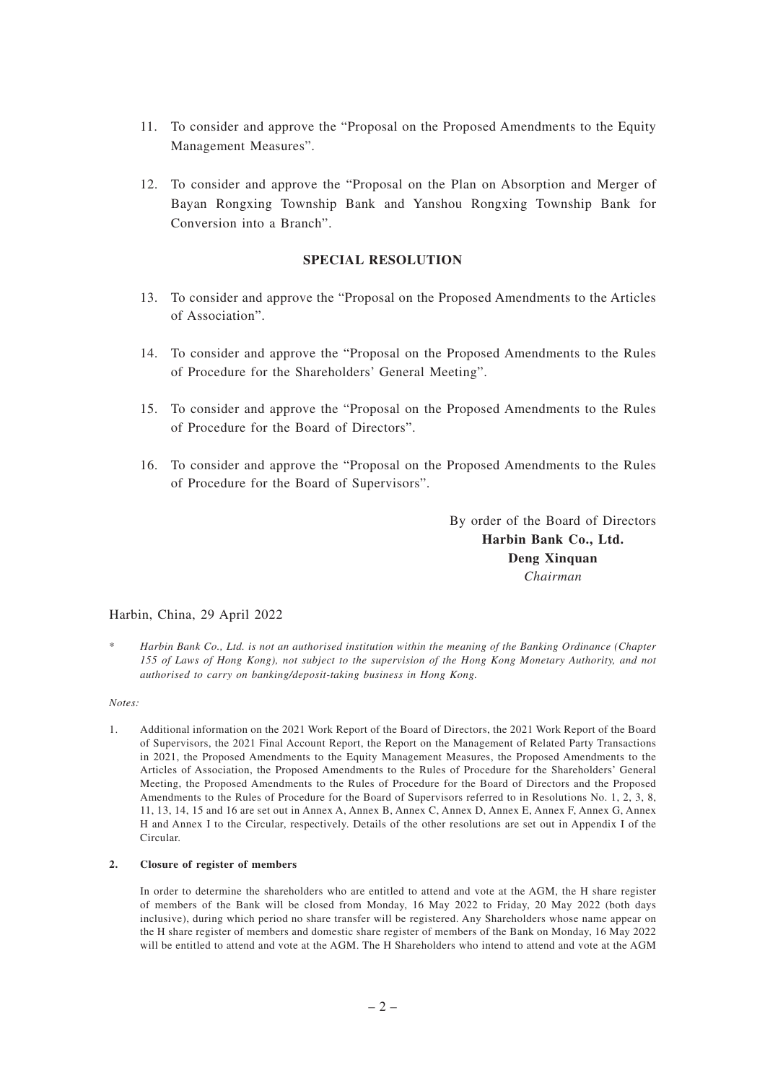- 11. To consider and approve the "Proposal on the Proposed Amendments to the Equity Management Measures".
- 12. To consider and approve the "Proposal on the Plan on Absorption and Merger of Bayan Rongxing Township Bank and Yanshou Rongxing Township Bank for Conversion into a Branch".

# **SPECIAL RESOLUTION**

- 13. To consider and approve the "Proposal on the Proposed Amendments to the Articles of Association".
- 14. To consider and approve the "Proposal on the Proposed Amendments to the Rules of Procedure for the Shareholders' General Meeting".
- 15. To consider and approve the "Proposal on the Proposed Amendments to the Rules of Procedure for the Board of Directors".
- 16. To consider and approve the "Proposal on the Proposed Amendments to the Rules of Procedure for the Board of Supervisors".

By order of the Board of Directors **Harbin Bank Co., Ltd. Deng Xinquan** *Chairman*

# Harbin, China, 29 April 2022

\* *Harbin Bank Co., Ltd. is not an authorised institution within the meaning of the Banking Ordinance (Chapter 155 of Laws of Hong Kong), not subject to the supervision of the Hong Kong Monetary Authority, and not authorised to carry on banking/deposit-taking business in Hong Kong.*

### *Notes:*

1. Additional information on the 2021 Work Report of the Board of Directors, the 2021 Work Report of the Board of Supervisors, the 2021 Final Account Report, the Report on the Management of Related Party Transactions in 2021, the Proposed Amendments to the Equity Management Measures, the Proposed Amendments to the Articles of Association, the Proposed Amendments to the Rules of Procedure for the Shareholders' General Meeting, the Proposed Amendments to the Rules of Procedure for the Board of Directors and the Proposed Amendments to the Rules of Procedure for the Board of Supervisors referred to in Resolutions No. 1, 2, 3, 8, 11, 13, 14, 15 and 16 are set out in Annex A, Annex B, Annex C, Annex D, Annex E, Annex F, Annex G, Annex H and Annex I to the Circular, respectively. Details of the other resolutions are set out in Appendix I of the Circular.

### **2. Closure of register of members**

In order to determine the shareholders who are entitled to attend and vote at the AGM, the H share register of members of the Bank will be closed from Monday, 16 May 2022 to Friday, 20 May 2022 (both days inclusive), during which period no share transfer will be registered. Any Shareholders whose name appear on the H share register of members and domestic share register of members of the Bank on Monday, 16 May 2022 will be entitled to attend and vote at the AGM. The H Shareholders who intend to attend and vote at the AGM